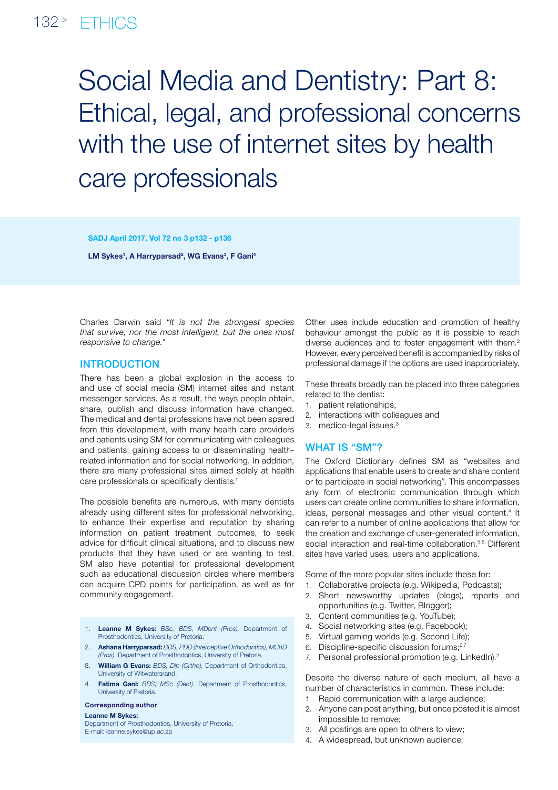## 132<sup>></sup> FTHICS

# Social Media and Dentistry: Part 8: Ethical, legal, and professional concerns with the use of internet sites by health care professionals

SADJ April 2017, Vol 72 no 3 p132 - p136

LM Sykes<sup>1</sup>, A Harryparsad<sup>2</sup>, WG Evans<sup>3</sup>, F Gani<sup>4</sup>

Charles Darwin said *"It is not the strongest species that survive, nor the most intelligent, but the ones most responsive to change."*

## **INTRODUCTION**

There has been a global explosion in the access to and use of social media (SM) internet sites and instant messenger services. As a result, the ways people obtain, share, publish and discuss information have changed. The medical and dental professions have not been spared from this development, with many health care providers and patients using SM for communicating with colleagues and patients; gaining access to or disseminating healthrelated information and for social networking. In addition, there are many professional sites aimed solely at health care professionals or specifically dentists.<sup>1</sup>

The possible benefits are numerous, with many dentists already using different sites for professional networking, to enhance their expertise and reputation by sharing information on patient treatment outcomes, to seek advice for difficult clinical situations, and to discuss new products that they have used or are wanting to test. SM also have potential for professional development such as educational discussion circles where members can acquire CPD points for participation, as well as for community engagement.

- 1. Leanne M Sykes: *BSc, BDS, MDent (Pros).* Department of Prosthodontics, University of Pretoria.
- 2. Ashana Harryparsad: *BDS, PDD (Interceptive Orthodontics), MChD (Pros).* Department of Prosthodontics, University of Pretoria.
- 3. William G Evans: *BDS, Dip (Ortho).* Department of Orthodontics, University of Witwatersrand.
- 4. Fatima Gani: *BDS, MSc (Dent).* Department of Prosthodontics, University of Pretoria.

#### Corresponding author

#### Leanne M Sykes:

Department of Prosthodontics, University of Pretoria. E-mail: leanne.sykes@up.ac.za

Other uses include education and promotion of healthy behaviour amongst the public as it is possible to reach diverse audiences and to foster engagement with them.<sup>2</sup> However, every perceived benefit is accompanied by risks of professional damage if the options are used inappropriately.

These threats broadly can be placed into three categories related to the dentist:

- 1. patient relationships,
- 2. interactions with colleagues and
- 3. medico-legal issues.3

#### WHAT IS "SM"?

The Oxford Dictionary defines SM as "websites and applications that enable users to create and share content or to participate in social networking". This encompasses any form of electronic communication through which users can create online communities to share information, ideas, personal messages and other visual content.<sup>4</sup> It can refer to a number of online applications that allow for the creation and exchange of user-generated information, social interaction and real-time collaboration.<sup>5,6</sup> Different sites have varied uses, users and applications.

Some of the more popular sites include those for:

- 1. Collaborative projects (e.g. Wikipedia, Podcasts);
- 2. Short newsworthy updates (blogs), reports and opportunities (e.g. Twitter, Blogger);
- 3. Content communities (e.g. YouTube);
- 4. Social networking sites (e.g. Facebook);
- 5. Virtual gaming worlds (e.g. Second Life);
- 6. Discipline-specific discussion forums;<sup>6,7</sup>
- 7. Personal professional promotion (e.g. LinkedIn).<sup>2</sup>

Despite the diverse nature of each medium, all have a number of characteristics in common. These include:

- 1. Rapid communication with a large audience;
- 2. Anyone can post anything, but once posted it is almost impossible to remove;
- 3. All postings are open to others to view;
- 4. A widespread, but unknown audience;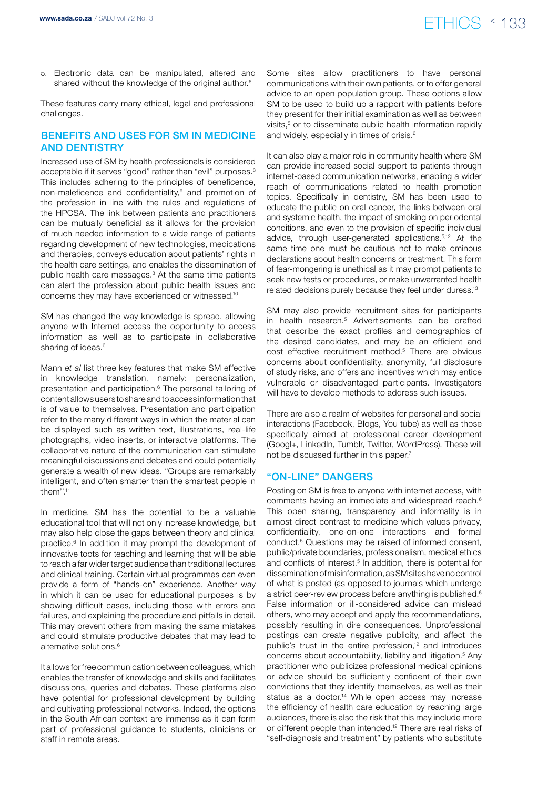# www.sada.co.za / SADJ Vol 72 No. 3 ethic set of the set of the set of the set of the set of  $FTHICS \leq 133$

5. Electronic data can be manipulated, altered and shared without the knowledge of the original author.<sup>6</sup>

These features carry many ethical, legal and professional challenges.

#### Benefits and uses for SM in medicine and dentistry

Increased use of SM by health professionals is considered acceptable if it serves "good" rather than "evil" purposes.<sup>8</sup> This includes adhering to the principles of beneficence, non-maleficence and confidentiality,<sup>9</sup> and promotion of the profession in line with the rules and regulations of the HPCSA. The link between patients and practitioners can be mutually beneficial as it allows for the provision of much needed information to a wide range of patients regarding development of new technologies, medications and therapies, conveys education about patients' rights in the health care settings, and enables the dissemination of public health care messages.<sup>8</sup> At the same time patients can alert the profession about public health issues and concerns they may have experienced or witnessed.10

SM has changed the way knowledge is spread, allowing anyone with Internet access the opportunity to access information as well as to participate in collaborative sharing of ideas.<sup>6</sup>

Mann *et al* list three key features that make SM effective in knowledge translation, namely: personalization, presentation and participation.<sup>6</sup> The personal tailoring of content allows users to share and to access information that is of value to themselves. Presentation and participation refer to the many different ways in which the material can be displayed such as written text, illustrations, real-life photographs, video inserts, or interactive platforms. The collaborative nature of the communication can stimulate meaningful discussions and debates and could potentially generate a wealth of new ideas. "Groups are remarkably intelligent, and often smarter than the smartest people in them''.11

In medicine, SM has the potential to be a valuable educational tool that will not only increase knowledge, but may also help close the gaps between theory and clinical practice.<sup>6</sup> In addition it may prompt the development of innovative toots for teaching and learning that will be able to reach a far wider target audience than traditional lectures and clinical training. Certain virtual programmes can even provide a form of "hands-on" experience. Another way in which it can be used for educational purposes is by showing difficult cases, including those with errors and failures, and explaining the procedure and pitfalls in detail. This may prevent others from making the same mistakes and could stimulate productive debates that may lead to alternative solutions.6

It allows for free communication between colleagues, which enables the transfer of knowledge and skills and facilitates discussions, queries and debates. These platforms also have potential for professional development by building and cultivating professional networks. Indeed, the options in the South African context are immense as it can form part of professional guidance to students, clinicians or staff in remote areas.

Some sites allow practitioners to have personal communications with their own patients, or to offer general advice to an open population group. These options allow SM to be used to build up a rapport with patients before they present for their initial examination as well as between visits,<sup>5</sup> or to disseminate public health information rapidly and widely, especially in times of crisis.<sup>6</sup>

It can also play a major role in community health where SM can provide increased social support to patients through internet-based communication networks, enabling a wider reach of communications related to health promotion topics. Specifically in dentistry, SM has been used to educate the public on oral cancer, the links between oral and systemic health, the impact of smoking on periodontal conditions, and even to the provision of specific individual advice, through user-generated applications.5,12 At the same time one must be cautious not to make ominous declarations about health concerns or treatment. This form of fear-mongering is unethical as it may prompt patients to seek new tests or procedures, or make unwarranted health related decisions purely because they feel under duress.<sup>13</sup>

SM may also provide recruitment sites for participants in health research.5 Advertisements can be drafted that describe the exact profiles and demographics of the desired candidates, and may be an efficient and cost effective recruitment method.5 There are obvious concerns about confidentiality, anonymity, full disclosure of study risks, and offers and incentives which may entice vulnerable or disadvantaged participants. Investigators will have to develop methods to address such issues.

There are also a realm of websites for personal and social interactions (Facebook, Blogs, You tube) as well as those specifically aimed at professional career development (Googl+, LinkedIn, Tumblr, Twitter, WordPress). These will not be discussed further in this paper.7

## "On-line" Dangers

Posting on SM is free to anyone with internet access, with comments having an immediate and widespread reach.6 This open sharing, transparency and informality is in almost direct contrast to medicine which values privacy, confidentiality, one-on-one interactions and formal conduct.5 Questions may be raised of informed consent, public/private boundaries, professionalism, medical ethics and conflicts of interest.<sup>5</sup> In addition, there is potential for dissemination of misinformation, as SM sites have no control of what is posted (as opposed to journals which undergo a strict peer-review process before anything is published.<sup>6</sup> False information or ill-considered advice can mislead others, who may accept and apply the recommendations, possibly resulting in dire consequences. Unprofessional postings can create negative publicity, and affect the public's trust in the entire profession,<sup>12</sup> and introduces concerns about accountability, liability and litigation.5 Any practitioner who publicizes professional medical opinions or advice should be sufficiently confident of their own convictions that they identify themselves, as well as their status as a doctor.<sup>14</sup> While open access may increase the efficiency of health care education by reaching large audiences, there is also the risk that this may include more or different people than intended.12 There are real risks of "self-diagnosis and treatment" by patients who substitute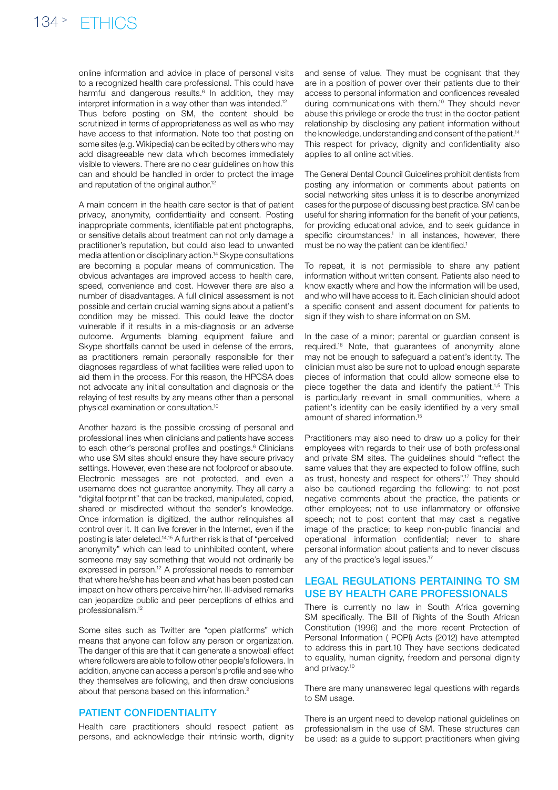online information and advice in place of personal visits to a recognized health care professional. This could have harmful and dangerous results.<sup>6</sup> In addition, they may interpret information in a way other than was intended.<sup>12</sup> Thus before posting on SM, the content should be scrutinized in terms of appropriateness as well as who may have access to that information. Note too that posting on some sites (e.g. Wikipedia) can be edited by others who may add disagreeable new data which becomes immediately visible to viewers. There are no clear guidelines on how this can and should be handled in order to protect the image and reputation of the original author.<sup>12</sup>

A main concern in the health care sector is that of patient privacy, anonymity, confidentiality and consent. Posting inappropriate comments, identifiable patient photographs, or sensitive details about treatment can not only damage a practitioner's reputation, but could also lead to unwanted media attention or disciplinary action.14 Skype consultations are becoming a popular means of communication. The obvious advantages are improved access to health care, speed, convenience and cost. However there are also a number of disadvantages. A full clinical assessment is not possible and certain crucial warning signs about a patient's condition may be missed. This could leave the doctor vulnerable if it results in a mis-diagnosis or an adverse outcome. Arguments blaming equipment failure and Skype shortfalls cannot be used in defense of the errors, as practitioners remain personally responsible for their diagnoses regardless of what facilities were relied upon to aid them in the process. For this reason, the HPCSA does not advocate any initial consultation and diagnosis or the relaying of test results by any means other than a personal physical examination or consultation.10

Another hazard is the possible crossing of personal and professional lines when clinicians and patients have access to each other's personal profiles and postings.<sup>6</sup> Clinicians who use SM sites should ensure they have secure privacy settings. However, even these are not foolproof or absolute. Electronic messages are not protected, and even a username does not guarantee anonymity. They all carry a "digital footprint" that can be tracked, manipulated, copied, shared or misdirected without the sender's knowledge. Once information is digitized, the author relinquishes all control over it. It can live forever in the Internet, even if the posting is later deleted.14,15 A further risk is that of "perceived anonymity" which can lead to uninhibited content, where someone may say something that would not ordinarily be expressed in person.<sup>12</sup> A professional needs to remember that where he/she has been and what has been posted can impact on how others perceive him/her. Ill-advised remarks can jeopardize public and peer perceptions of ethics and professionalism.12

Some sites such as Twitter are "open platforms" which means that anyone can follow any person or organization. The danger of this are that it can generate a snowball effect where followers are able to follow other people's followers. In addition, anyone can access a person's profile and see who they themselves are following, and then draw conclusions about that persona based on this information.2

#### PATIENT CONFIDENTIALITY

Health care practitioners should respect patient as persons, and acknowledge their intrinsic worth, dignity

and sense of value. They must be cognisant that they are in a position of power over their patients due to their access to personal information and confidences revealed during communications with them.10 They should never abuse this privilege or erode the trust in the doctor-patient relationship by disclosing any patient information without the knowledge, understanding and consent of the patient.<sup>14</sup> This respect for privacy, dignity and confidentiality also applies to all online activities.

The General Dental Council Guidelines prohibit dentists from posting any information or comments about patients on social networking sites unless it is to describe anonymized cases for the purpose of discussing best practice. SM can be useful for sharing information for the benefit of your patients, for providing educational advice, and to seek guidance in specific circumstances.<sup>1</sup> In all instances, however, there must be no way the patient can be identified.<sup>1</sup>

To repeat, it is not permissible to share any patient information without written consent. Patients also need to know exactly where and how the information will be used, and who will have access to it. Each clinician should adopt a specific consent and assent document for patients to sign if they wish to share information on SM.

In the case of a minor; parental or guardian consent is required.16 Note, that guarantees of anonymity alone may not be enough to safeguard a patient's identity. The clinician must also be sure not to upload enough separate pieces of information that could allow someone else to piece together the data and identify the patient.<sup>1,5</sup> This is particularly relevant in small communities, where a patient's identity can be easily identified by a very small amount of shared information.15

Practitioners may also need to draw up a policy for their employees with regards to their use of both professional and private SM sites. The guidelines should "reflect the same values that they are expected to follow offline, such as trust, honesty and respect for others".17 They should also be cautioned regarding the following: to not post negative comments about the practice, the patients or other employees; not to use inflammatory or offensive speech; not to post content that may cast a negative image of the practice; to keep non-public financial and operational information confidential; never to share personal information about patients and to never discuss any of the practice's legal issues.17

#### Legal regulations pertaining to SM use by health care professionals

There is currently no law in South Africa governing SM specifically. The Bill of Rights of the South African Constitution (1996) and the more recent Protection of Personal Information ( POPI) Acts (2012) have attempted to address this in part.10 They have sections dedicated to equality, human dignity, freedom and personal dignity and privacy.10

There are many unanswered legal questions with regards to SM usage.

There is an urgent need to develop national guidelines on professionalism in the use of SM. These structures can be used: as a guide to support practitioners when giving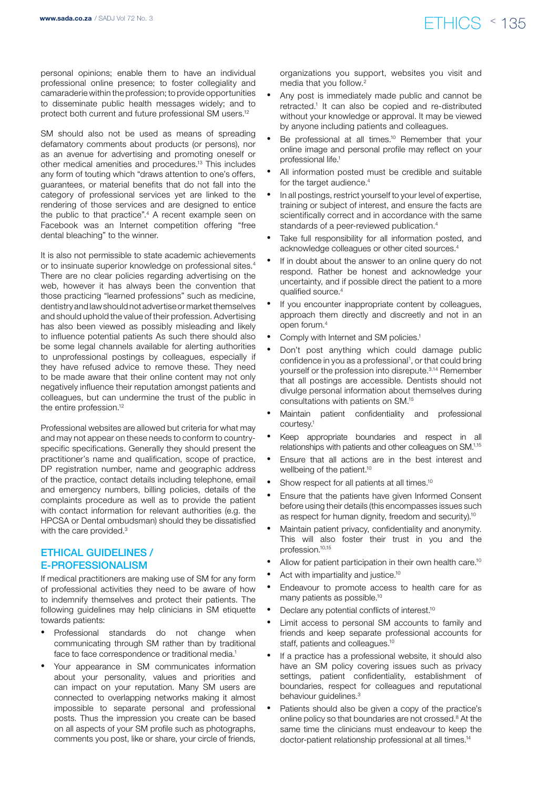# www.sada.co.za / SADJ Vol 72 No. 3  $ETHICS \le 135$

personal opinions; enable them to have an individual professional online presence; to foster collegiality and camaraderie within the profession; to provide opportunities to disseminate public health messages widely; and to protect both current and future professional SM users.12

SM should also not be used as means of spreading defamatory comments about products (or persons), nor as an avenue for advertising and promoting oneself or other medical amenities and procedures.13 This includes any form of touting which "draws attention to one's offers, guarantees, or material benefits that do not fall into the category of professional services yet are linked to the rendering of those services and are designed to entice the public to that practice".4 A recent example seen on Facebook was an Internet competition offering "free dental bleaching" to the winner.

It is also not permissible to state academic achievements or to insinuate superior knowledge on professional sites.4 There are no clear policies regarding advertising on the web, however it has always been the convention that those practicing "learned professions" such as medicine, dentistry and law should not advertise or market themselves and should uphold the value of their profession. Advertising has also been viewed as possibly misleading and likely to influence potential patients As such there should also be some legal channels available for alerting authorities to unprofessional postings by colleagues, especially if they have refused advice to remove these. They need to be made aware that their online content may not only negatively influence their reputation amongst patients and colleagues, but can undermine the trust of the public in the entire profession.<sup>12</sup>

Professional websites are allowed but criteria for what may and may not appear on these needs to conform to countryspecific specifications. Generally they should present the practitioner's name and qualification, scope of practice, DP registration number, name and geographic address of the practice, contact details including telephone, email and emergency numbers, billing policies, details of the complaints procedure as well as to provide the patient with contact information for relevant authorities (e.g. the HPCSA or Dental ombudsman) should they be dissatisfied with the care provided.<sup>3</sup>

## Ethical guidelines / E-professionalism

If medical practitioners are making use of SM for any form of professional activities they need to be aware of how to indemnify themselves and protect their patients. The following guidelines may help clinicians in SM etiquette towards patients:

- Professional standards do not change when communicating through SM rather than by traditional face to face correspondence or traditional media.<sup>1</sup>
- Your appearance in SM communicates information about your personality, values and priorities and can impact on your reputation. Many SM users are connected to overlapping networks making it almost impossible to separate personal and professional posts. Thus the impression you create can be based on all aspects of your SM profile such as photographs, comments you post, like or share, your circle of friends,

organizations you support, websites you visit and media that you follow.2

- Any post is immediately made public and cannot be retracted.<sup>1</sup> It can also be copied and re-distributed without your knowledge or approval. It may be viewed by anyone including patients and colleagues.
- Be professional at all times.<sup>10</sup> Remember that your online image and personal profile may reflect on your professional life.<sup>1</sup>
- All information posted must be credible and suitable for the target audience.<sup>4</sup>
- In all postings, restrict yourself to your level of expertise, training or subject of interest, and ensure the facts are scientifically correct and in accordance with the same standards of a peer-reviewed publication.4
- Take full responsibility for all information posted, and acknowledge colleagues or other cited sources.4
- If in doubt about the answer to an online query do not respond. Rather be honest and acknowledge your uncertainty, and if possible direct the patient to a more qualified source.4
- If you encounter inappropriate content by colleagues, approach them directly and discreetly and not in an open forum.4
- Comply with Internet and SM policies.<sup>1</sup>
- Don't post anything which could damage public confidence in you as a professional<sup>1</sup>, or that could bring yourself or the profession into disrepute.3,14 Remember that all postings are accessible. Dentists should not divulge personal information about themselves during consultations with patients on SM.15
- Maintain patient confidentiality and professional courtesy.1
- Keep appropriate boundaries and respect in all relationships with patients and other colleagues on SM.1,15
- Ensure that all actions are in the best interest and wellbeing of the patient.10
- Show respect for all patients at all times.<sup>10</sup>
- Ensure that the patients have given Informed Consent before using their details (this encompasses issues such as respect for human dignity, freedom and security).<sup>10</sup>
- Maintain patient privacy, confidentiality and anonymity. This will also foster their trust in you and the profession.10,15
- Allow for patient participation in their own health care.<sup>10</sup>
- Act with impartiality and justice. $10$
- Endeavour to promote access to health care for as many patients as possible.10
- Declare any potential conflicts of interest.<sup>10</sup>
- Limit access to personal SM accounts to family and friends and keep separate professional accounts for staff, patients and colleagues.10
- If a practice has a professional website, it should also have an SM policy covering issues such as privacy settings, patient confidentiality, establishment of boundaries, respect for colleagues and reputational behaviour guidelines.<sup>3</sup>
- Patients should also be given a copy of the practice's online policy so that boundaries are not crossed.8 At the same time the clinicians must endeavour to keep the doctor-patient relationship professional at all times.14